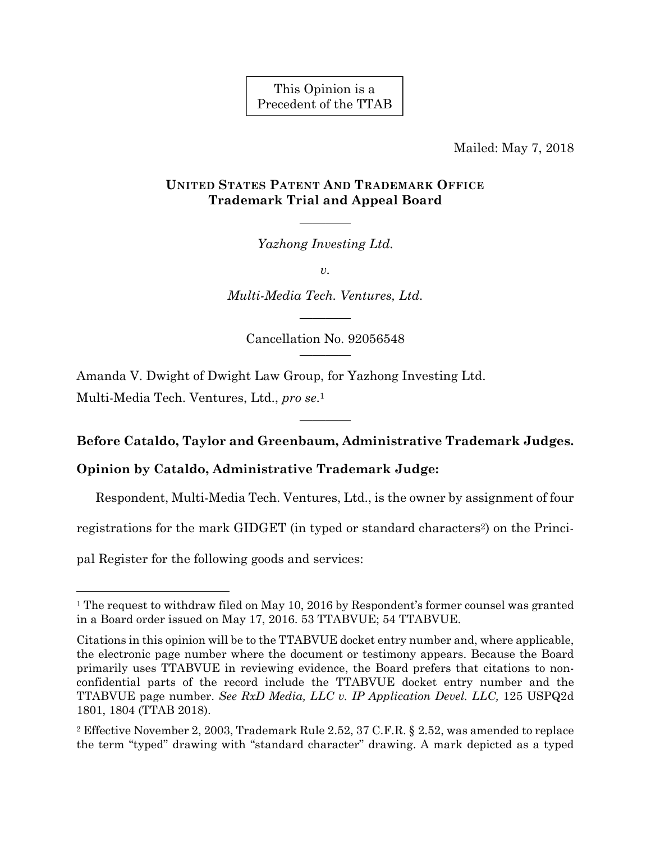This Opinion is a Precedent of the TTAB

Mailed: May 7, 2018

# **UNITED STATES PATENT AND TRADEMARK OFFICE Trademark Trial and Appeal Board**

———— *Yazhong Investing Ltd.* 

*v.* 

*Multi-Media Tech. Ventures, Ltd.*

Cancellation No. 92056548 ————

————

Amanda V. Dwight of Dwight Law Group, for Yazhong Investing Ltd. Multi-Media Tech. Ventures, Ltd., *pro se*.1

## **Before Cataldo, Taylor and Greenbaum, Administrative Trademark Judges.**

————

## **Opinion by Cataldo, Administrative Trademark Judge:**

Respondent, Multi-Media Tech. Ventures, Ltd., is the owner by assignment of four

registrations for the mark GIDGET (in typed or standard characters<sup>2</sup>) on the Princi-

pal Register for the following goods and services:

<sup>&</sup>lt;sup>1</sup> The request to withdraw filed on May 10, 2016 by Respondent's former counsel was granted in a Board order issued on May 17, 2016. 53 TTABVUE; 54 TTABVUE.

Citations in this opinion will be to the TTABVUE docket entry number and, where applicable, the electronic page number where the document or testimony appears. Because the Board primarily uses TTABVUE in reviewing evidence, the Board prefers that citations to nonconfidential parts of the record include the TTABVUE docket entry number and the TTABVUE page number. *See RxD Media, LLC v. IP Application Devel. LLC,* 125 USPQ2d 1801, 1804 (TTAB 2018).

<sup>2</sup> Effective November 2, 2003, Trademark Rule 2.52, 37 C.F.R. § 2.52, was amended to replace the term "typed" drawing with "standard character" drawing. A mark depicted as a typed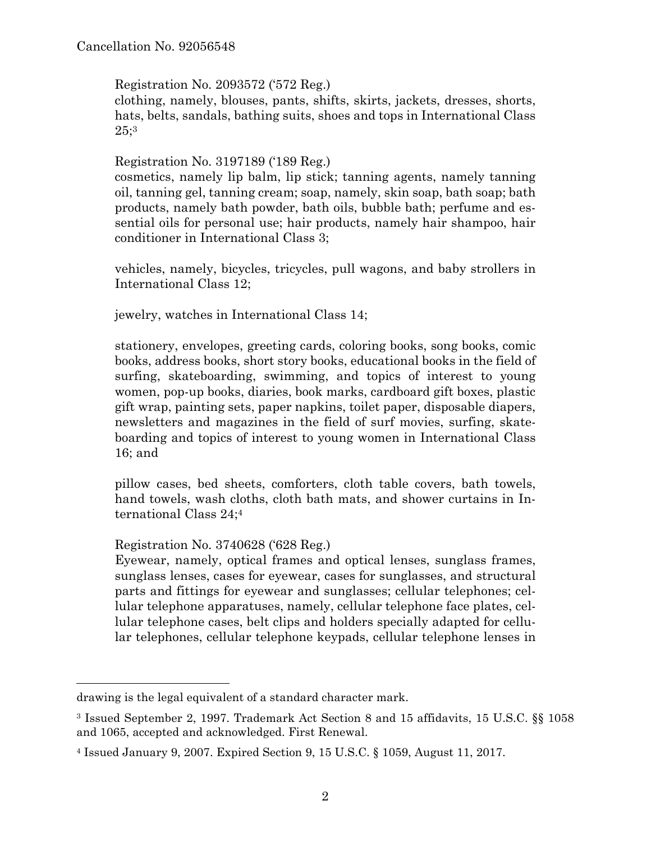Registration No. 2093572 ('572 Reg.)

clothing, namely, blouses, pants, shifts, skirts, jackets, dresses, shorts, hats, belts, sandals, bathing suits, shoes and tops in International Class 25;3

Registration No. 3197189 ('189 Reg.)

cosmetics, namely lip balm, lip stick; tanning agents, namely tanning oil, tanning gel, tanning cream; soap, namely, skin soap, bath soap; bath products, namely bath powder, bath oils, bubble bath; perfume and essential oils for personal use; hair products, namely hair shampoo, hair conditioner in International Class 3;

vehicles, namely, bicycles, tricycles, pull wagons, and baby strollers in International Class 12;

jewelry, watches in International Class 14;

stationery, envelopes, greeting cards, coloring books, song books, comic books, address books, short story books, educational books in the field of surfing, skateboarding, swimming, and topics of interest to young women, pop-up books, diaries, book marks, cardboard gift boxes, plastic gift wrap, painting sets, paper napkins, toilet paper, disposable diapers, newsletters and magazines in the field of surf movies, surfing, skateboarding and topics of interest to young women in International Class 16; and

pillow cases, bed sheets, comforters, cloth table covers, bath towels, hand towels, wash cloths, cloth bath mats, and shower curtains in International Class 24;4

Registration No. 3740628 ('628 Reg.)

Eyewear, namely, optical frames and optical lenses, sunglass frames, sunglass lenses, cases for eyewear, cases for sunglasses, and structural parts and fittings for eyewear and sunglasses; cellular telephones; cellular telephone apparatuses, namely, cellular telephone face plates, cellular telephone cases, belt clips and holders specially adapted for cellular telephones, cellular telephone keypads, cellular telephone lenses in

drawing is the legal equivalent of a standard character mark.

<sup>3</sup> Issued September 2, 1997. Trademark Act Section 8 and 15 affidavits, 15 U.S.C. §§ 1058 and 1065, accepted and acknowledged. First Renewal.

<sup>4</sup> Issued January 9, 2007. Expired Section 9, 15 U.S.C. § 1059, August 11, 2017.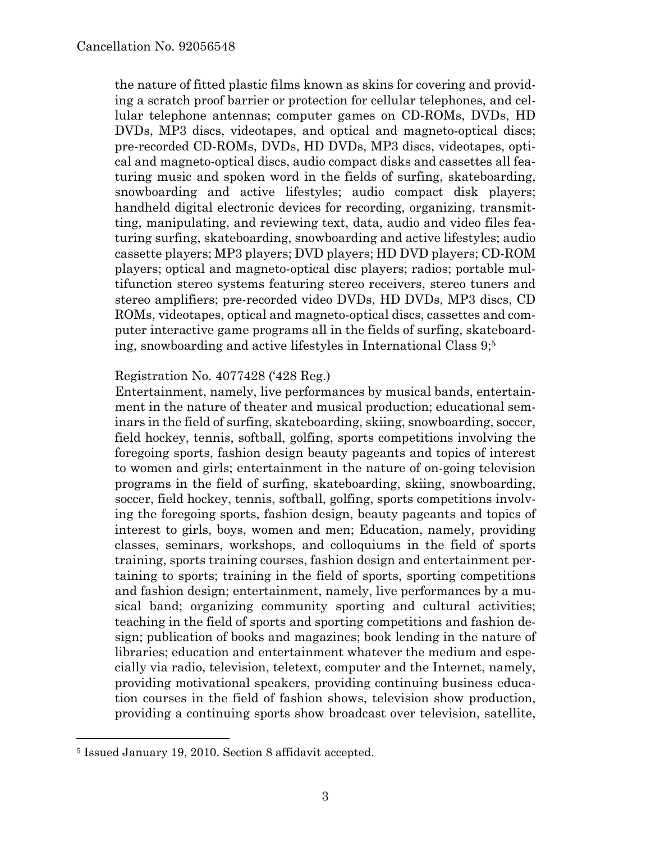the nature of fitted plastic films known as skins for covering and providing a scratch proof barrier or protection for cellular telephones, and cellular telephone antennas; computer games on CD-ROMs, DVDs, HD DVDs, MP3 discs, videotapes, and optical and magneto-optical discs; pre-recorded CD-ROMs, DVDs, HD DVDs, MP3 discs, videotapes, optical and magneto-optical discs, audio compact disks and cassettes all featuring music and spoken word in the fields of surfing, skateboarding, snowboarding and active lifestyles; audio compact disk players; handheld digital electronic devices for recording, organizing, transmitting, manipulating, and reviewing text, data, audio and video files featuring surfing, skateboarding, snowboarding and active lifestyles; audio cassette players; MP3 players; DVD players; HD DVD players; CD-ROM players; optical and magneto-optical disc players; radios; portable multifunction stereo systems featuring stereo receivers, stereo tuners and stereo amplifiers; pre-recorded video DVDs, HD DVDs, MP3 discs, CD ROMs, videotapes, optical and magneto-optical discs, cassettes and computer interactive game programs all in the fields of surfing, skateboarding, snowboarding and active lifestyles in International Class 9;5

### Registration No. 4077428 ('428 Reg.)

Entertainment, namely, live performances by musical bands, entertainment in the nature of theater and musical production; educational seminars in the field of surfing, skateboarding, skiing, snowboarding, soccer, field hockey, tennis, softball, golfing, sports competitions involving the foregoing sports, fashion design beauty pageants and topics of interest to women and girls; entertainment in the nature of on-going television programs in the field of surfing, skateboarding, skiing, snowboarding, soccer, field hockey, tennis, softball, golfing, sports competitions involving the foregoing sports, fashion design, beauty pageants and topics of interest to girls, boys, women and men; Education, namely, providing classes, seminars, workshops, and colloquiums in the field of sports training, sports training courses, fashion design and entertainment pertaining to sports; training in the field of sports, sporting competitions and fashion design; entertainment, namely, live performances by a musical band; organizing community sporting and cultural activities; teaching in the field of sports and sporting competitions and fashion design; publication of books and magazines; book lending in the nature of libraries; education and entertainment whatever the medium and especially via radio, television, teletext, computer and the Internet, namely, providing motivational speakers, providing continuing business education courses in the field of fashion shows, television show production, providing a continuing sports show broadcast over television, satellite,

l

<sup>5</sup> Issued January 19, 2010. Section 8 affidavit accepted.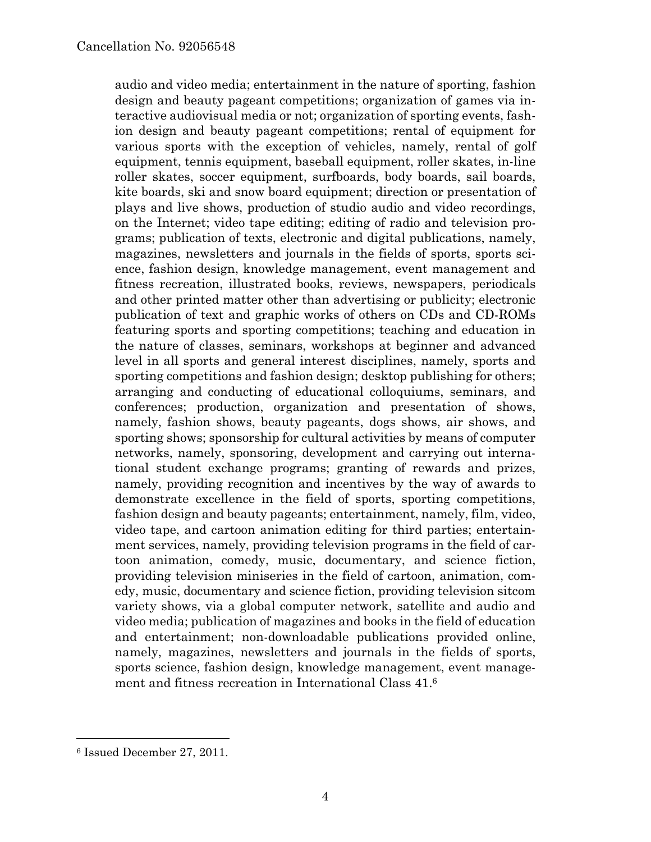audio and video media; entertainment in the nature of sporting, fashion design and beauty pageant competitions; organization of games via interactive audiovisual media or not; organization of sporting events, fashion design and beauty pageant competitions; rental of equipment for various sports with the exception of vehicles, namely, rental of golf equipment, tennis equipment, baseball equipment, roller skates, in-line roller skates, soccer equipment, surfboards, body boards, sail boards, kite boards, ski and snow board equipment; direction or presentation of plays and live shows, production of studio audio and video recordings, on the Internet; video tape editing; editing of radio and television programs; publication of texts, electronic and digital publications, namely, magazines, newsletters and journals in the fields of sports, sports science, fashion design, knowledge management, event management and fitness recreation, illustrated books, reviews, newspapers, periodicals and other printed matter other than advertising or publicity; electronic publication of text and graphic works of others on CDs and CD-ROMs featuring sports and sporting competitions; teaching and education in the nature of classes, seminars, workshops at beginner and advanced level in all sports and general interest disciplines, namely, sports and sporting competitions and fashion design; desktop publishing for others; arranging and conducting of educational colloquiums, seminars, and conferences; production, organization and presentation of shows, namely, fashion shows, beauty pageants, dogs shows, air shows, and sporting shows; sponsorship for cultural activities by means of computer networks, namely, sponsoring, development and carrying out international student exchange programs; granting of rewards and prizes, namely, providing recognition and incentives by the way of awards to demonstrate excellence in the field of sports, sporting competitions, fashion design and beauty pageants; entertainment, namely, film, video, video tape, and cartoon animation editing for third parties; entertainment services, namely, providing television programs in the field of cartoon animation, comedy, music, documentary, and science fiction, providing television miniseries in the field of cartoon, animation, comedy, music, documentary and science fiction, providing television sitcom variety shows, via a global computer network, satellite and audio and video media; publication of magazines and books in the field of education and entertainment; non-downloadable publications provided online, namely, magazines, newsletters and journals in the fields of sports, sports science, fashion design, knowledge management, event management and fitness recreation in International Class 41.6

l

<sup>6</sup> Issued December 27, 2011.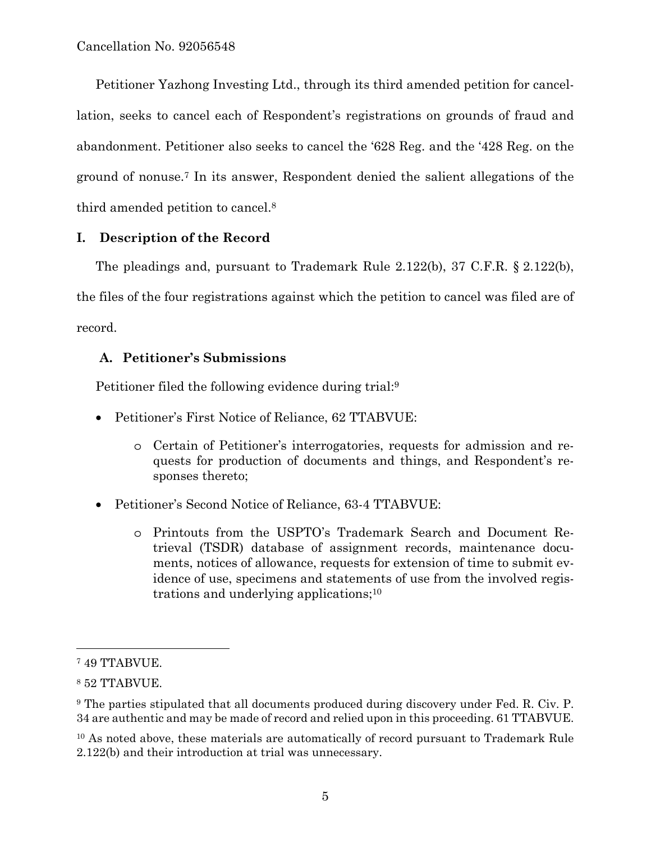Petitioner Yazhong Investing Ltd., through its third amended petition for cancellation, seeks to cancel each of Respondent's registrations on grounds of fraud and abandonment. Petitioner also seeks to cancel the '628 Reg. and the '428 Reg. on the ground of nonuse.7 In its answer, Respondent denied the salient allegations of the third amended petition to cancel.8

## **I. Description of the Record**

The pleadings and, pursuant to Trademark Rule 2.122(b), 37 C.F.R. § 2.122(b),

the files of the four registrations against which the petition to cancel was filed are of record.

# **A. Petitioner's Submissions**

Petitioner filed the following evidence during trial:9

- Petitioner's First Notice of Reliance, 62 TTABVUE:
	- o Certain of Petitioner's interrogatories, requests for admission and requests for production of documents and things, and Respondent's responses thereto;
- Petitioner's Second Notice of Reliance, 63-4 TTABVUE:
	- o Printouts from the USPTO's Trademark Search and Document Retrieval (TSDR) database of assignment records, maintenance documents, notices of allowance, requests for extension of time to submit evidence of use, specimens and statements of use from the involved registrations and underlying applications;10

<sup>7 49</sup> TTABVUE.

<sup>8 52</sup> TTABVUE.

<sup>9</sup> The parties stipulated that all documents produced during discovery under Fed. R. Civ. P. 34 are authentic and may be made of record and relied upon in this proceeding. 61 TTABVUE.

<sup>&</sup>lt;sup>10</sup> As noted above, these materials are automatically of record pursuant to Trademark Rule 2.122(b) and their introduction at trial was unnecessary.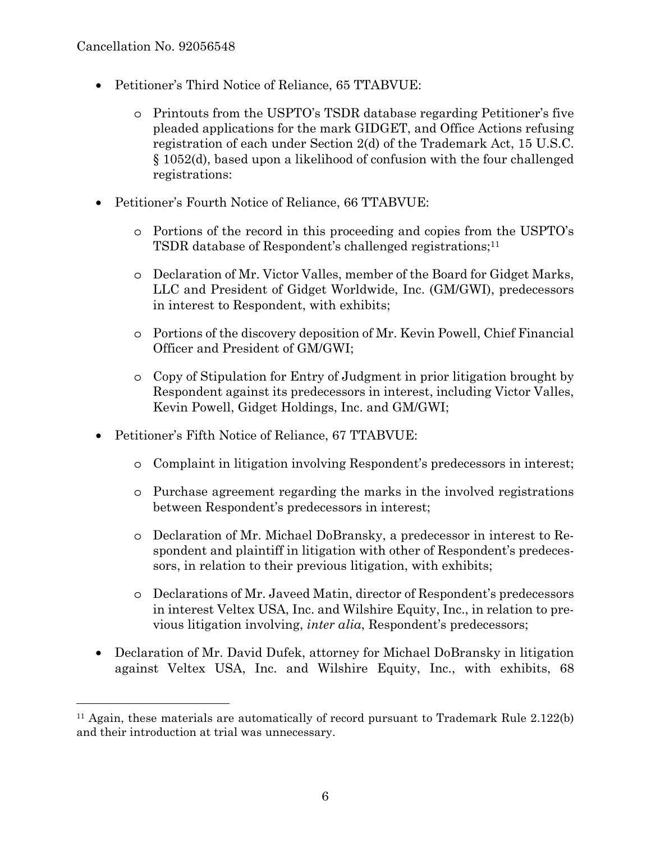- Petitioner's Third Notice of Reliance, 65 TTABVUE:
	- o Printouts from the USPTO's TSDR database regarding Petitioner's five pleaded applications for the mark GIDGET, and Office Actions refusing registration of each under Section 2(d) of the Trademark Act, 15 U.S.C. § 1052(d), based upon a likelihood of confusion with the four challenged registrations:
- Petitioner's Fourth Notice of Reliance, 66 TTABVUE:
	- o Portions of the record in this proceeding and copies from the USPTO's TSDR database of Respondent's challenged registrations;11
	- o Declaration of Mr. Victor Valles, member of the Board for Gidget Marks, LLC and President of Gidget Worldwide, Inc. (GM/GWI), predecessors in interest to Respondent, with exhibits;
	- o Portions of the discovery deposition of Mr. Kevin Powell, Chief Financial Officer and President of GM/GWI;
	- o Copy of Stipulation for Entry of Judgment in prior litigation brought by Respondent against its predecessors in interest, including Victor Valles, Kevin Powell, Gidget Holdings, Inc. and GM/GWI;
- Petitioner's Fifth Notice of Reliance, 67 TTABVUE:
	- o Complaint in litigation involving Respondent's predecessors in interest;
	- o Purchase agreement regarding the marks in the involved registrations between Respondent's predecessors in interest;
	- o Declaration of Mr. Michael DoBransky, a predecessor in interest to Respondent and plaintiff in litigation with other of Respondent's predecessors, in relation to their previous litigation, with exhibits;
	- o Declarations of Mr. Javeed Matin, director of Respondent's predecessors in interest Veltex USA, Inc. and Wilshire Equity, Inc., in relation to previous litigation involving, *inter alia*, Respondent's predecessors;
- Declaration of Mr. David Dufek, attorney for Michael DoBransky in litigation against Veltex USA, Inc. and Wilshire Equity, Inc., with exhibits, 68

<sup>&</sup>lt;sup>11</sup> Again, these materials are automatically of record pursuant to Trademark Rule 2.122(b) and their introduction at trial was unnecessary.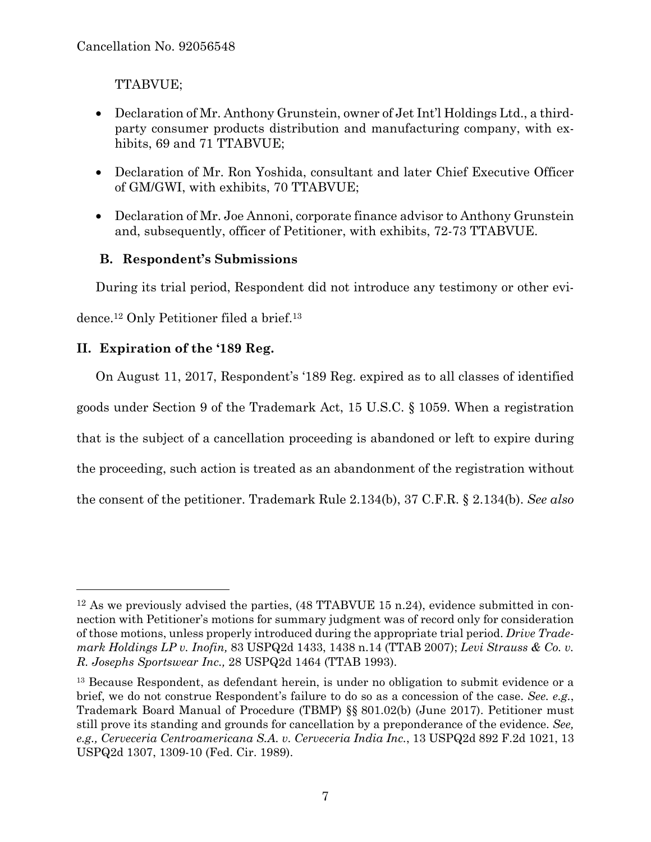TTABVUE;

- Declaration of Mr. Anthony Grunstein, owner of Jet Int'l Holdings Ltd., a thirdparty consumer products distribution and manufacturing company, with exhibits, 69 and 71 TTABVUE;
- Declaration of Mr. Ron Yoshida, consultant and later Chief Executive Officer of GM/GWI, with exhibits, 70 TTABVUE;
- Declaration of Mr. Joe Annoni, corporate finance advisor to Anthony Grunstein and, subsequently, officer of Petitioner, with exhibits, 72-73 TTABVUE.

# **B. Respondent's Submissions**

During its trial period, Respondent did not introduce any testimony or other evi-

dence.12 Only Petitioner filed a brief.13

# **II. Expiration of the '189 Reg.**

l

On August 11, 2017, Respondent's '189 Reg. expired as to all classes of identified goods under Section 9 of the Trademark Act, 15 U.S.C. § 1059. When a registration that is the subject of a cancellation proceeding is abandoned or left to expire during the proceeding, such action is treated as an abandonment of the registration without the consent of the petitioner. Trademark Rule 2.134(b), 37 C.F.R. § 2.134(b). *See also*

<sup>&</sup>lt;sup>12</sup> As we previously advised the parties, (48 TTABVUE 15 n.24), evidence submitted in connection with Petitioner's motions for summary judgment was of record only for consideration of those motions, unless properly introduced during the appropriate trial period. *Drive Trademark Holdings LP v. Inofin,* 83 USPQ2d 1433, 1438 n.14 (TTAB 2007); *Levi Strauss & Co. v. R. Josephs Sportswear Inc.,* 28 USPQ2d 1464 (TTAB 1993).

<sup>&</sup>lt;sup>13</sup> Because Respondent, as defendant herein, is under no obligation to submit evidence or a brief, we do not construe Respondent's failure to do so as a concession of the case. *See. e.g.*, Trademark Board Manual of Procedure (TBMP) §§ 801.02(b) (June 2017). Petitioner must still prove its standing and grounds for cancellation by a preponderance of the evidence. *See, e.g., Cerveceria Centroamericana S.A. v. Cerveceria India Inc.*, 13 USPQ2d 892 F.2d 1021, 13 USPQ2d 1307, 1309-10 (Fed. Cir. 1989).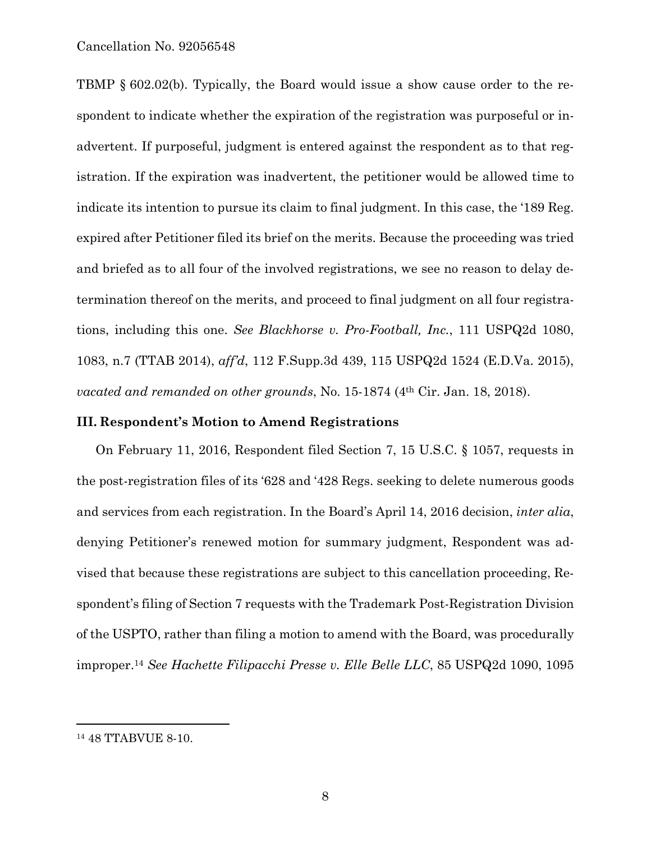TBMP § 602.02(b). Typically, the Board would issue a show cause order to the respondent to indicate whether the expiration of the registration was purposeful or inadvertent. If purposeful, judgment is entered against the respondent as to that registration. If the expiration was inadvertent, the petitioner would be allowed time to indicate its intention to pursue its claim to final judgment. In this case, the '189 Reg. expired after Petitioner filed its brief on the merits. Because the proceeding was tried and briefed as to all four of the involved registrations, we see no reason to delay determination thereof on the merits, and proceed to final judgment on all four registrations, including this one. *See Blackhorse v. Pro-Football, Inc.*, 111 USPQ2d 1080, 1083, n.7 (TTAB 2014), *aff'd*, 112 F.Supp.3d 439, 115 USPQ2d 1524 (E.D.Va. 2015), *vacated and remanded on other grounds*, No. 15-1874 (4th Cir. Jan. 18, 2018).

#### **III. Respondent's Motion to Amend Registrations**

On February 11, 2016, Respondent filed Section 7, 15 U.S.C. § 1057, requests in the post-registration files of its '628 and '428 Regs. seeking to delete numerous goods and services from each registration. In the Board's April 14, 2016 decision, *inter alia*, denying Petitioner's renewed motion for summary judgment, Respondent was advised that because these registrations are subject to this cancellation proceeding, Respondent's filing of Section 7 requests with the Trademark Post-Registration Division of the USPTO, rather than filing a motion to amend with the Board, was procedurally improper.14 *See Hachette Filipacchi Presse v. Elle Belle LLC*, 85 USPQ2d 1090, 1095

<sup>14 48</sup> TTABVUE 8-10.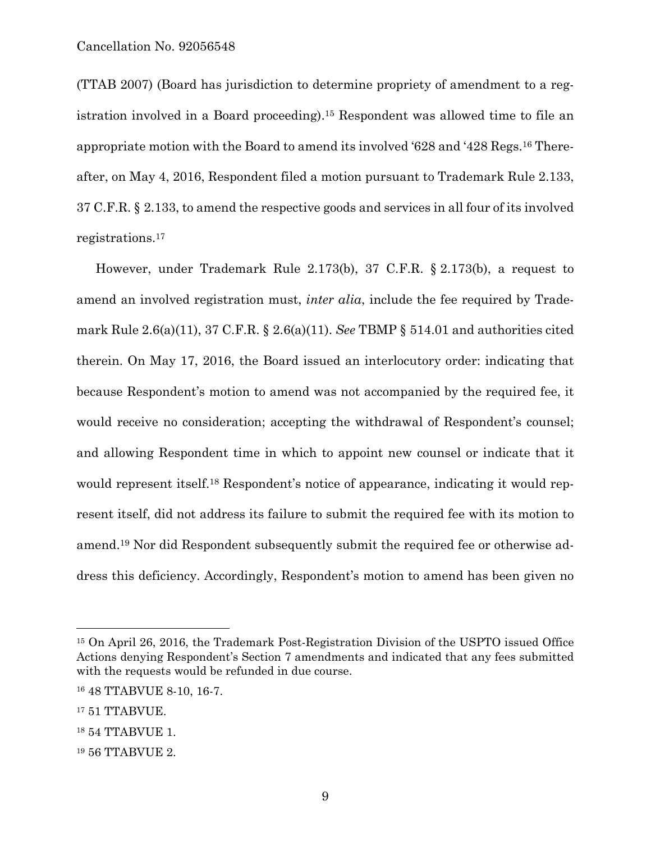(TTAB 2007) (Board has jurisdiction to determine propriety of amendment to a registration involved in a Board proceeding).15 Respondent was allowed time to file an appropriate motion with the Board to amend its involved '628 and '428 Regs.16 Thereafter, on May 4, 2016, Respondent filed a motion pursuant to Trademark Rule 2.133, 37 C.F.R. § 2.133, to amend the respective goods and services in all four of its involved registrations.17

However, under Trademark Rule 2.173(b), 37 C.F.R. § 2.173(b), a request to amend an involved registration must, *inter alia*, include the fee required by Trademark Rule 2.6(a)(11), 37 C.F.R. § 2.6(a)(11). *See* TBMP § 514.01 and authorities cited therein. On May 17, 2016, the Board issued an interlocutory order: indicating that because Respondent's motion to amend was not accompanied by the required fee, it would receive no consideration; accepting the withdrawal of Respondent's counsel; and allowing Respondent time in which to appoint new counsel or indicate that it would represent itself.18 Respondent's notice of appearance, indicating it would represent itself, did not address its failure to submit the required fee with its motion to amend.19 Nor did Respondent subsequently submit the required fee or otherwise address this deficiency. Accordingly, Respondent's motion to amend has been given no

<sup>15</sup> On April 26, 2016, the Trademark Post-Registration Division of the USPTO issued Office Actions denying Respondent's Section 7 amendments and indicated that any fees submitted with the requests would be refunded in due course.

<sup>16 48</sup> TTABVUE 8-10, 16-7.

<sup>17 51</sup> TTABVUE.

<sup>18 54</sup> TTABVUE 1.

<sup>19 56</sup> TTABVUE 2.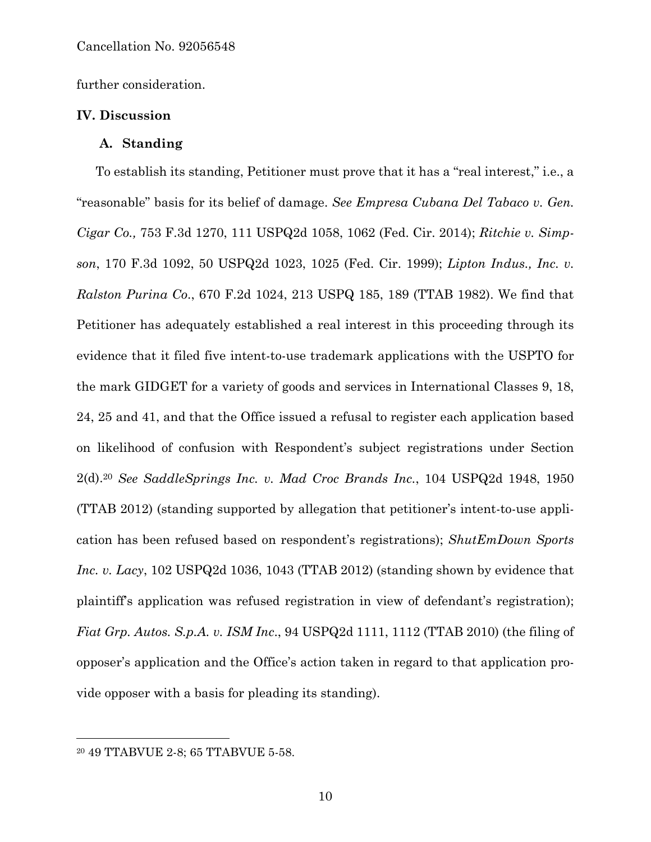further consideration.

#### **IV. Discussion**

#### **A. Standing**

To establish its standing, Petitioner must prove that it has a "real interest," i.e., a "reasonable" basis for its belief of damage. *See Empresa Cubana Del Tabaco v. Gen. Cigar Co.,* 753 F.3d 1270, 111 USPQ2d 1058, 1062 (Fed. Cir. 2014); *Ritchie v. Simpson*, 170 F.3d 1092, 50 USPQ2d 1023, 1025 (Fed. Cir. 1999); *Lipton Indus., Inc. v. Ralston Purina Co*., 670 F.2d 1024, 213 USPQ 185, 189 (TTAB 1982). We find that Petitioner has adequately established a real interest in this proceeding through its evidence that it filed five intent-to-use trademark applications with the USPTO for the mark GIDGET for a variety of goods and services in International Classes 9, 18, 24, 25 and 41, and that the Office issued a refusal to register each application based on likelihood of confusion with Respondent's subject registrations under Section 2(d).20 *See SaddleSprings Inc. v. Mad Croc Brands Inc.*, 104 USPQ2d 1948, 1950 (TTAB 2012) (standing supported by allegation that petitioner's intent-to-use application has been refused based on respondent's registrations); *ShutEmDown Sports Inc. v. Lacy*, 102 USPQ2d 1036, 1043 (TTAB 2012) (standing shown by evidence that plaintiff's application was refused registration in view of defendant's registration); *Fiat Grp. Autos. S.p.A. v. ISM Inc*., 94 USPQ2d 1111, 1112 (TTAB 2010) (the filing of opposer's application and the Office's action taken in regard to that application provide opposer with a basis for pleading its standing).

l

<sup>20 49</sup> TTABVUE 2-8; 65 TTABVUE 5-58.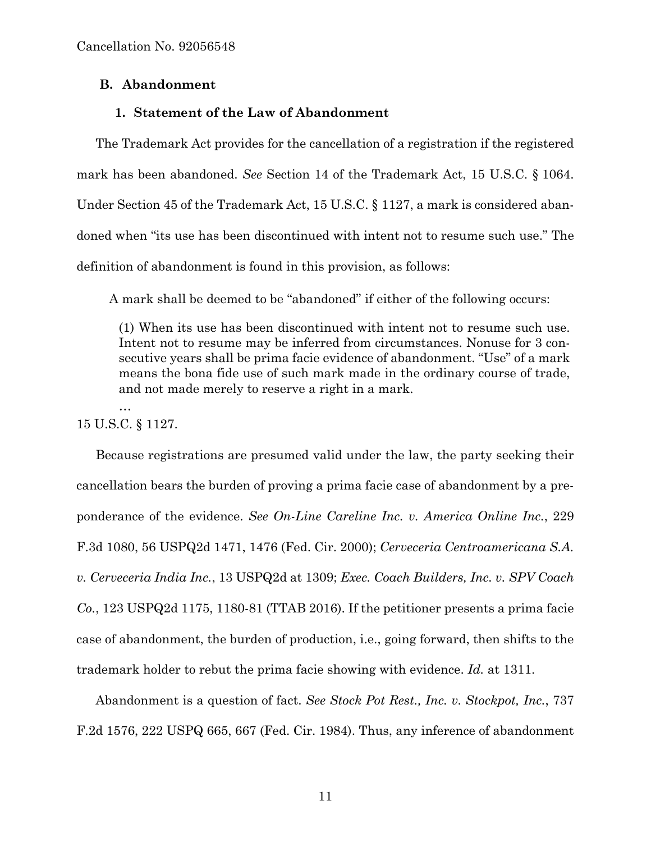#### **B. Abandonment**

#### **1. Statement of the Law of Abandonment**

The Trademark Act provides for the cancellation of a registration if the registered mark has been abandoned. *See* Section 14 of the Trademark Act, 15 U.S.C. § 1064. Under Section 45 of the Trademark Act, 15 U.S.C. § 1127, a mark is considered abandoned when "its use has been discontinued with intent not to resume such use." The definition of abandonment is found in this provision, as follows:

A mark shall be deemed to be "abandoned" if either of the following occurs:

(1) When its use has been discontinued with intent not to resume such use. Intent not to resume may be inferred from circumstances. Nonuse for 3 consecutive years shall be prima facie evidence of abandonment. "Use" of a mark means the bona fide use of such mark made in the ordinary course of trade, and not made merely to reserve a right in a mark.

… 15 U.S.C. § 1127.

Because registrations are presumed valid under the law, the party seeking their cancellation bears the burden of proving a prima facie case of abandonment by a preponderance of the evidence. *See On-Line Careline Inc. v. America Online Inc.*, 229 F.3d 1080, 56 USPQ2d 1471, 1476 (Fed. Cir. 2000); *Cerveceria Centroamericana S.A. v. Cerveceria India Inc.*, 13 USPQ2d at 1309; *Exec. Coach Builders, Inc. v. SPV Coach Co.*, 123 USPQ2d 1175, 1180-81 (TTAB 2016). If the petitioner presents a prima facie case of abandonment, the burden of production, i.e., going forward, then shifts to the trademark holder to rebut the prima facie showing with evidence. *Id.* at 1311.

Abandonment is a question of fact. *See Stock Pot Rest., Inc. v. Stockpot, Inc.*, 737 F.2d 1576, 222 USPQ 665, 667 (Fed. Cir. 1984). Thus, any inference of abandonment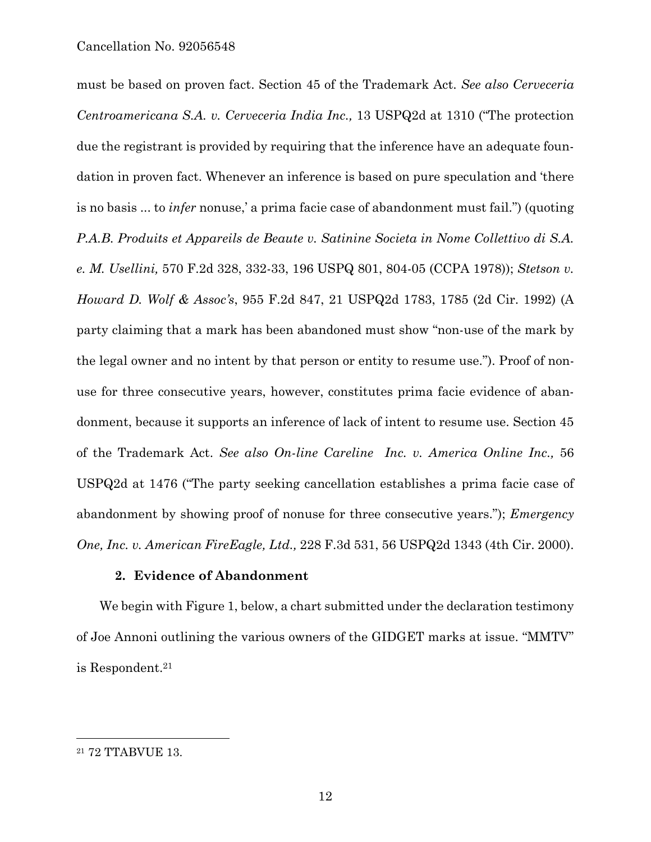must be based on proven fact. Section 45 of the Trademark Act. *See also Cerveceria Centroamericana S.A. v. Cerveceria India Inc.,* 13 USPQ2d at 1310 ("The protection due the registrant is provided by requiring that the inference have an adequate foundation in proven fact. Whenever an inference is based on pure speculation and 'there is no basis ... to *infer* nonuse,' a prima facie case of abandonment must fail.") (quoting *P.A.B. Produits et Appareils de Beaute v. Satinine Societa in Nome Collettivo di S.A. e. M. Usellini,* 570 F.2d 328, 332-33, 196 USPQ 801, 804-05 (CCPA 1978)); *Stetson v. Howard D. Wolf & Assoc's*, 955 F.2d 847, 21 USPQ2d 1783, 1785 (2d Cir. 1992) (A party claiming that a mark has been abandoned must show "non-use of the mark by the legal owner and no intent by that person or entity to resume use."). Proof of nonuse for three consecutive years, however, constitutes prima facie evidence of abandonment, because it supports an inference of lack of intent to resume use. Section 45 of the Trademark Act. *See also On-line Careline Inc. v. America Online Inc.,* 56 USPQ2d at 1476 ("The party seeking cancellation establishes a prima facie case of abandonment by showing proof of nonuse for three consecutive years."); *Emergency One, Inc. v. American FireEagle, Ltd.,* 228 F.3d 531, 56 USPQ2d 1343 (4th Cir. 2000).

#### **2. Evidence of Abandonment**

We begin with Figure 1, below, a chart submitted under the declaration testimony of Joe Annoni outlining the various owners of the GIDGET marks at issue. "MMTV" is Respondent.21

<sup>21 72</sup> TTABVUE 13.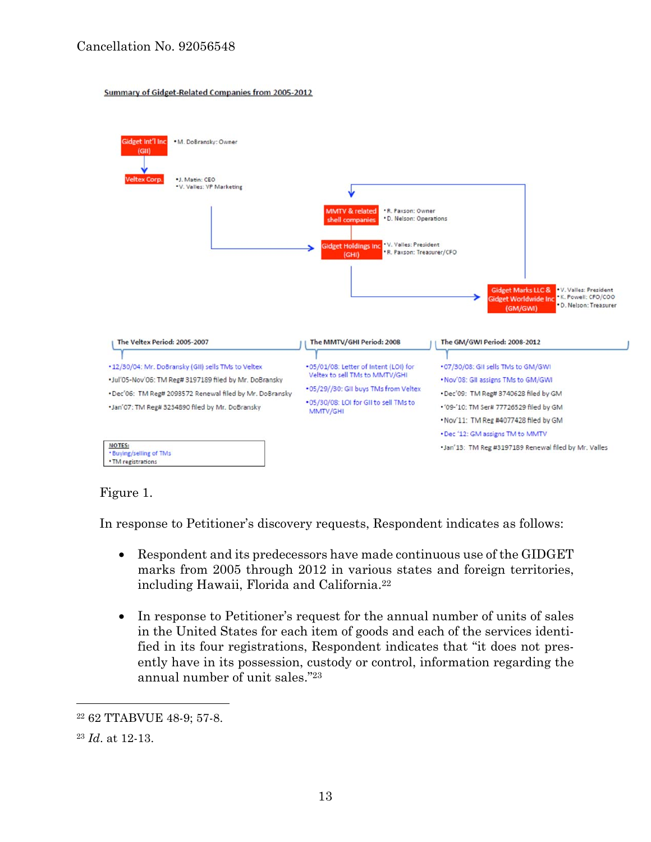#### **Summary of Gidget-Related Companies from 2005-2012**



Figure 1.

In response to Petitioner's discovery requests, Respondent indicates as follows:

- Respondent and its predecessors have made continuous use of the GIDGET marks from 2005 through 2012 in various states and foreign territories, including Hawaii, Florida and California.22
- In response to Petitioner's request for the annual number of units of sales in the United States for each item of goods and each of the services identified in its four registrations, Respondent indicates that "it does not presently have in its possession, custody or control, information regarding the annual number of unit sales."23

<sup>22 62</sup> TTABVUE 48-9; 57-8.

<sup>23</sup> *Id*. at 12-13.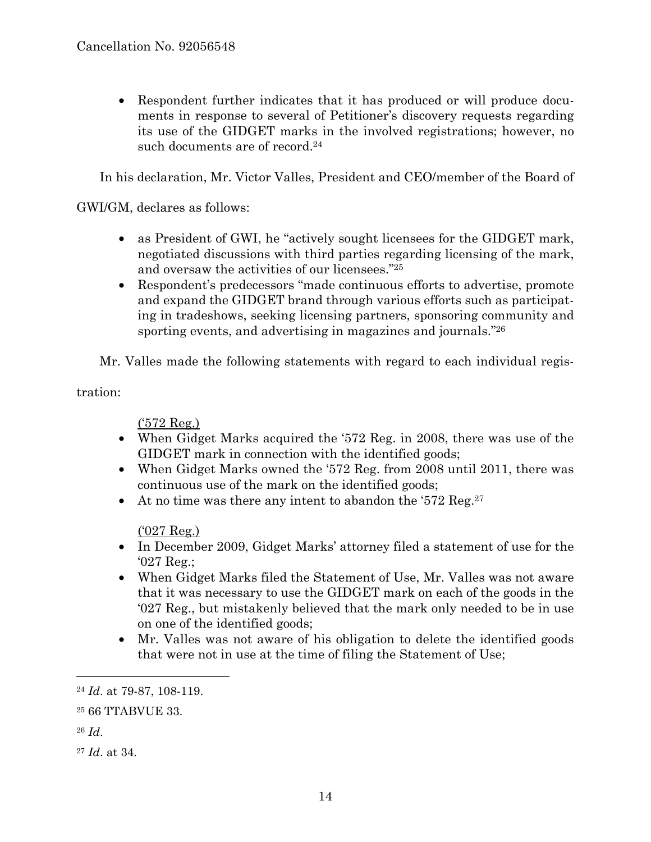• Respondent further indicates that it has produced or will produce documents in response to several of Petitioner's discovery requests regarding its use of the GIDGET marks in the involved registrations; however, no such documents are of record.<sup>24</sup>

In his declaration, Mr. Victor Valles, President and CEO/member of the Board of

GWI/GM, declares as follows:

- as President of GWI, he "actively sought licensees for the GIDGET mark, negotiated discussions with third parties regarding licensing of the mark, and oversaw the activities of our licensees."25
- Respondent's predecessors "made continuous efforts to advertise, promote and expand the GIDGET brand through various efforts such as participating in tradeshows, seeking licensing partners, sponsoring community and sporting events, and advertising in magazines and journals."26

Mr. Valles made the following statements with regard to each individual regis-

tration:

('572 Reg.)

- When Gidget Marks acquired the '572 Reg. in 2008, there was use of the GIDGET mark in connection with the identified goods;
- When Gidget Marks owned the '572 Reg. from 2008 until 2011, there was continuous use of the mark on the identified goods;
- At no time was there any intent to abandon the '572 Reg.<sup>27</sup>

('027 Reg.)

- In December 2009, Gidget Marks' attorney filed a statement of use for the '027 Reg.;
- When Gidget Marks filed the Statement of Use, Mr. Valles was not aware that it was necessary to use the GIDGET mark on each of the goods in the '027 Reg., but mistakenly believed that the mark only needed to be in use on one of the identified goods;
- Mr. Valles was not aware of his obligation to delete the identified goods that were not in use at the time of filing the Statement of Use;

<sup>26</sup> *Id*.

<sup>24</sup> *Id*. at 79-87, 108-119.

<sup>25 66</sup> TTABVUE 33.

<sup>27</sup> *Id*. at 34.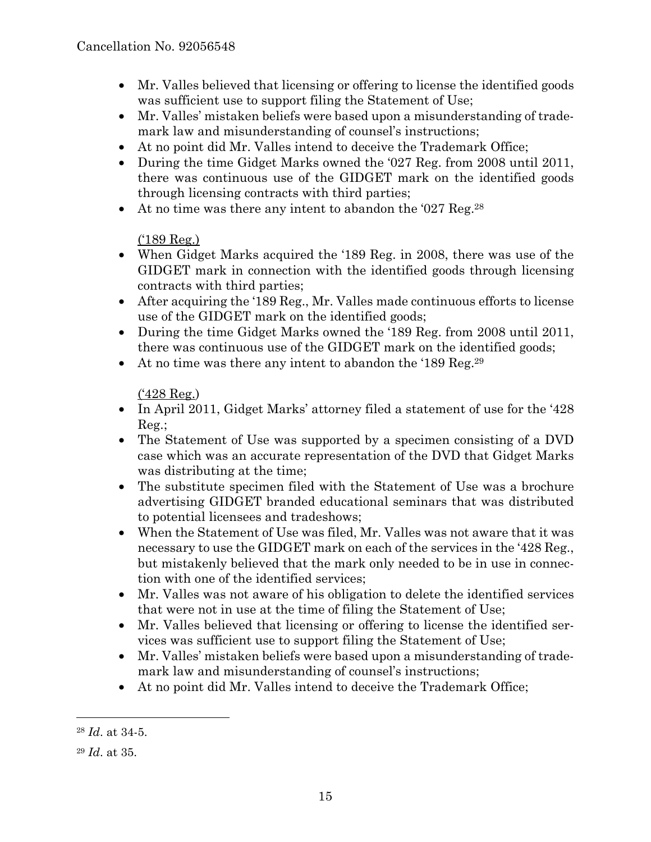- Mr. Valles believed that licensing or offering to license the identified goods was sufficient use to support filing the Statement of Use;
- Mr. Valles' mistaken beliefs were based upon a misunderstanding of trademark law and misunderstanding of counsel's instructions;
- At no point did Mr. Valles intend to deceive the Trademark Office;
- During the time Gidget Marks owned the '027 Reg. from 2008 until 2011, there was continuous use of the GIDGET mark on the identified goods through licensing contracts with third parties;
- At no time was there any intent to abandon the '027 Reg.<sup>28</sup>

# ('189 Reg.)

- When Gidget Marks acquired the '189 Reg. in 2008, there was use of the GIDGET mark in connection with the identified goods through licensing contracts with third parties;
- After acquiring the '189 Reg., Mr. Valles made continuous efforts to license use of the GIDGET mark on the identified goods;
- During the time Gidget Marks owned the '189 Reg. from 2008 until 2011, there was continuous use of the GIDGET mark on the identified goods;
- At no time was there any intent to abandon the '189 Reg.<sup>29</sup>

# ('428 Reg.)

- In April 2011, Gidget Marks' attorney filed a statement of use for the '428 Reg.;
- The Statement of Use was supported by a specimen consisting of a DVD case which was an accurate representation of the DVD that Gidget Marks was distributing at the time;
- The substitute specimen filed with the Statement of Use was a brochure advertising GIDGET branded educational seminars that was distributed to potential licensees and tradeshows;
- When the Statement of Use was filed, Mr. Valles was not aware that it was necessary to use the GIDGET mark on each of the services in the '428 Reg., but mistakenly believed that the mark only needed to be in use in connection with one of the identified services;
- Mr. Valles was not aware of his obligation to delete the identified services that were not in use at the time of filing the Statement of Use;
- Mr. Valles believed that licensing or offering to license the identified services was sufficient use to support filing the Statement of Use;
- Mr. Valles' mistaken beliefs were based upon a misunderstanding of trademark law and misunderstanding of counsel's instructions;
- At no point did Mr. Valles intend to deceive the Trademark Office;

<sup>28</sup> *Id*. at 34-5.

<sup>29</sup> *Id*. at 35.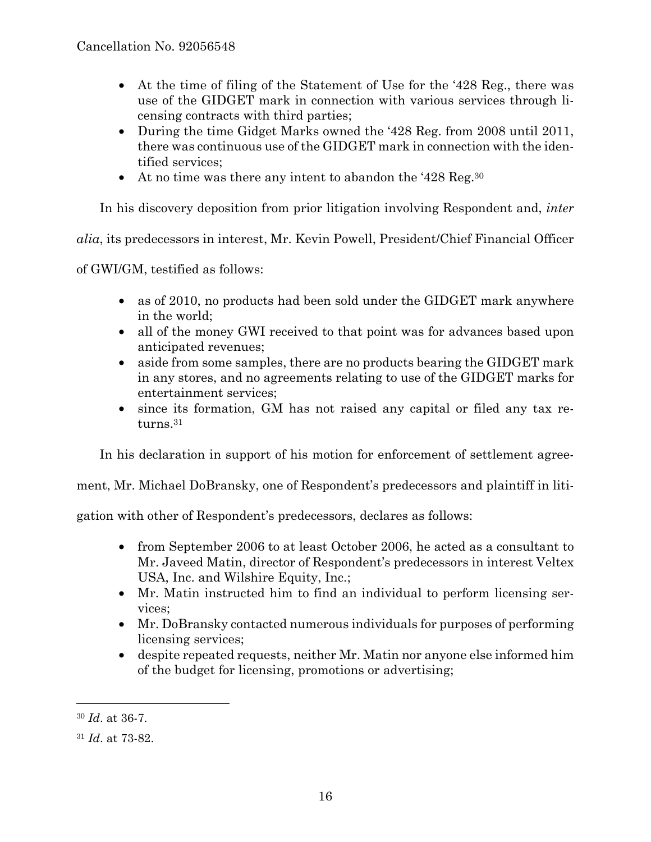- At the time of filing of the Statement of Use for the '428 Reg., there was use of the GIDGET mark in connection with various services through licensing contracts with third parties;
- During the time Gidget Marks owned the '428 Reg. from 2008 until 2011, there was continuous use of the GIDGET mark in connection with the identified services;
- At no time was there any intent to abandon the '428 Reg.<sup>30</sup>

In his discovery deposition from prior litigation involving Respondent and, *inter* 

*alia*, its predecessors in interest, Mr. Kevin Powell, President/Chief Financial Officer

of GWI/GM, testified as follows:

- as of 2010, no products had been sold under the GIDGET mark anywhere in the world;
- all of the money GWI received to that point was for advances based upon anticipated revenues;
- aside from some samples, there are no products bearing the GIDGET mark in any stores, and no agreements relating to use of the GIDGET marks for entertainment services;
- since its formation, GM has not raised any capital or filed any tax returns.31

In his declaration in support of his motion for enforcement of settlement agree-

ment, Mr. Michael DoBransky, one of Respondent's predecessors and plaintiff in liti-

gation with other of Respondent's predecessors, declares as follows:

- from September 2006 to at least October 2006, he acted as a consultant to Mr. Javeed Matin, director of Respondent's predecessors in interest Veltex USA, Inc. and Wilshire Equity, Inc.;
- Mr. Matin instructed him to find an individual to perform licensing services;
- Mr. DoBransky contacted numerous individuals for purposes of performing licensing services;
- despite repeated requests, neither Mr. Matin nor anyone else informed him of the budget for licensing, promotions or advertising;

<sup>30</sup> *Id*. at 36-7.

<sup>31</sup> *Id*. at 73-82.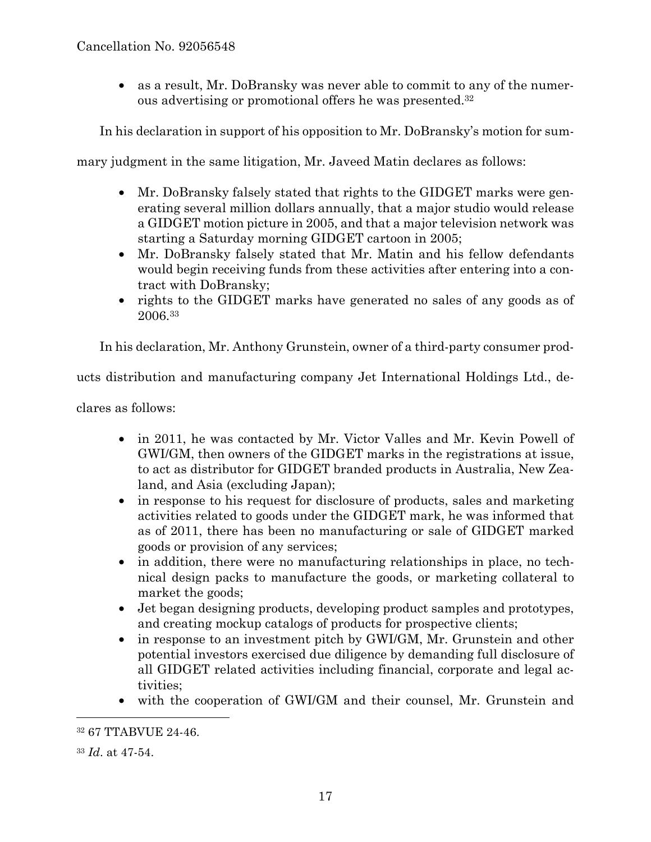• as a result, Mr. DoBransky was never able to commit to any of the numerous advertising or promotional offers he was presented.32

In his declaration in support of his opposition to Mr. DoBransky's motion for sum-

mary judgment in the same litigation, Mr. Javeed Matin declares as follows:

- Mr. DoBransky falsely stated that rights to the GIDGET marks were generating several million dollars annually, that a major studio would release a GIDGET motion picture in 2005, and that a major television network was starting a Saturday morning GIDGET cartoon in 2005;
- Mr. DoBransky falsely stated that Mr. Matin and his fellow defendants would begin receiving funds from these activities after entering into a contract with DoBransky;
- rights to the GIDGET marks have generated no sales of any goods as of 2006.33

In his declaration, Mr. Anthony Grunstein, owner of a third-party consumer prod-

ucts distribution and manufacturing company Jet International Holdings Ltd., de-

clares as follows:

- in 2011, he was contacted by Mr. Victor Valles and Mr. Kevin Powell of GWI/GM, then owners of the GIDGET marks in the registrations at issue, to act as distributor for GIDGET branded products in Australia, New Zealand, and Asia (excluding Japan);
- in response to his request for disclosure of products, sales and marketing activities related to goods under the GIDGET mark, he was informed that as of 2011, there has been no manufacturing or sale of GIDGET marked goods or provision of any services;
- in addition, there were no manufacturing relationships in place, no technical design packs to manufacture the goods, or marketing collateral to market the goods;
- Jet began designing products, developing product samples and prototypes, and creating mockup catalogs of products for prospective clients;
- in response to an investment pitch by GWI/GM, Mr. Grunstein and other potential investors exercised due diligence by demanding full disclosure of all GIDGET related activities including financial, corporate and legal activities;
- with the cooperation of GWI/GM and their counsel, Mr. Grunstein and

<sup>32 67</sup> TTABVUE 24-46.

<sup>33</sup> *Id*. at 47-54.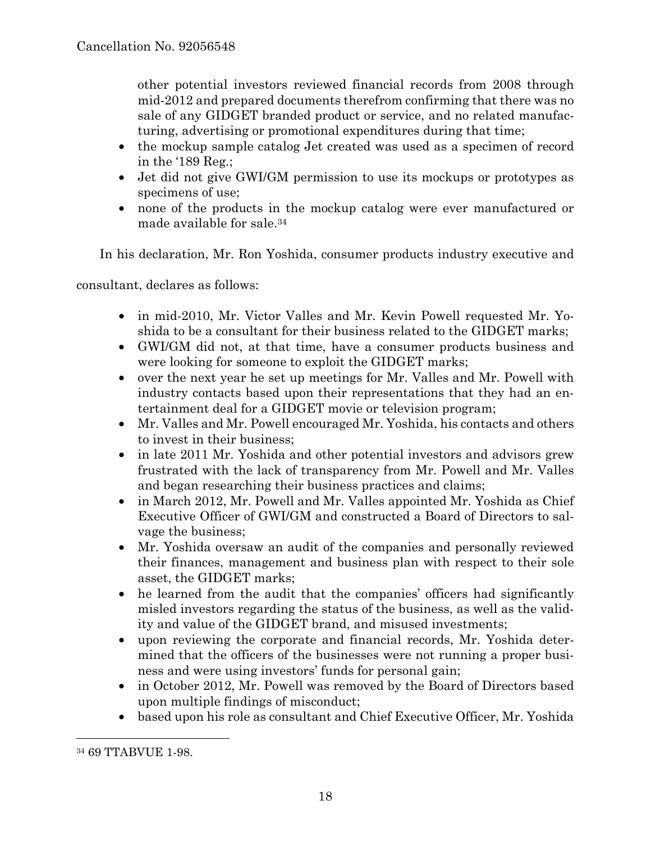other potential investors reviewed financial records from 2008 through mid-2012 and prepared documents therefrom confirming that there was no sale of any GIDGET branded product or service, and no related manufacturing, advertising or promotional expenditures during that time;

- the mockup sample catalog Jet created was used as a specimen of record in the '189 Reg.;
- Jet did not give GWI/GM permission to use its mockups or prototypes as specimens of use;
- none of the products in the mockup catalog were ever manufactured or made available for sale.34

In his declaration, Mr. Ron Yoshida, consumer products industry executive and

consultant, declares as follows:

- in mid-2010, Mr. Victor Valles and Mr. Kevin Powell requested Mr. Yoshida to be a consultant for their business related to the GIDGET marks;
- GWI/GM did not, at that time, have a consumer products business and were looking for someone to exploit the GIDGET marks;
- over the next year he set up meetings for Mr. Valles and Mr. Powell with industry contacts based upon their representations that they had an entertainment deal for a GIDGET movie or television program;
- Mr. Valles and Mr. Powell encouraged Mr. Yoshida, his contacts and others to invest in their business;
- in late 2011 Mr. Yoshida and other potential investors and advisors grew frustrated with the lack of transparency from Mr. Powell and Mr. Valles and began researching their business practices and claims;
- in March 2012, Mr. Powell and Mr. Valles appointed Mr. Yoshida as Chief Executive Officer of GWI/GM and constructed a Board of Directors to salvage the business;
- Mr. Yoshida oversaw an audit of the companies and personally reviewed their finances, management and business plan with respect to their sole asset, the GIDGET marks;
- he learned from the audit that the companies' officers had significantly misled investors regarding the status of the business, as well as the validity and value of the GIDGET brand, and misused investments;
- upon reviewing the corporate and financial records, Mr. Yoshida determined that the officers of the businesses were not running a proper business and were using investors' funds for personal gain;
- in October 2012, Mr. Powell was removed by the Board of Directors based upon multiple findings of misconduct;
- based upon his role as consultant and Chief Executive Officer, Mr. Yoshida

<sup>34 69</sup> TTABVUE 1-98.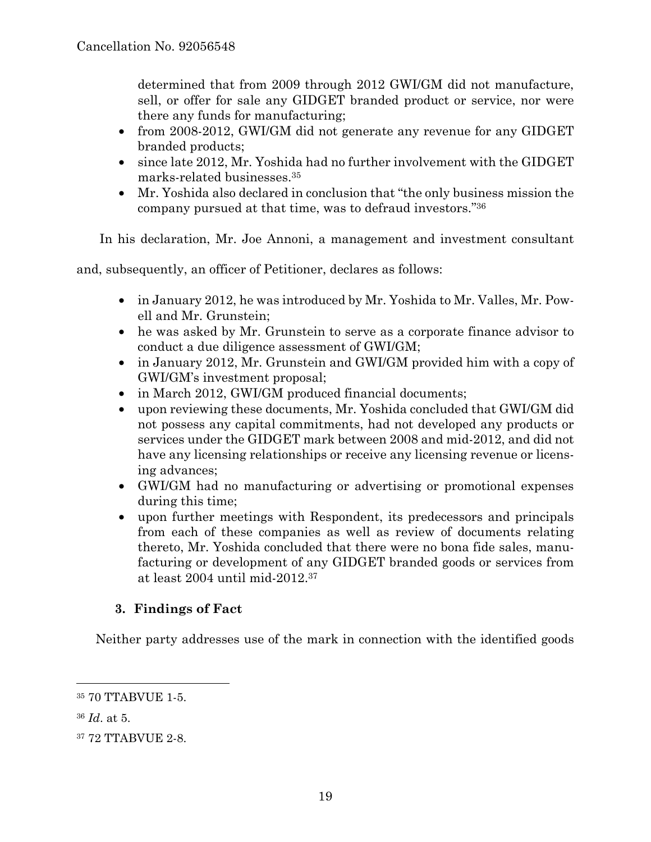determined that from 2009 through 2012 GWI/GM did not manufacture, sell, or offer for sale any GIDGET branded product or service, nor were there any funds for manufacturing;

- from 2008-2012, GWI/GM did not generate any revenue for any GIDGET branded products;
- since late 2012, Mr. Yoshida had no further involvement with the GIDGET marks-related businesses.35
- Mr. Yoshida also declared in conclusion that "the only business mission the company pursued at that time, was to defraud investors."36

In his declaration, Mr. Joe Annoni, a management and investment consultant

and, subsequently, an officer of Petitioner, declares as follows:

- in January 2012, he was introduced by Mr. Yoshida to Mr. Valles, Mr. Powell and Mr. Grunstein;
- he was asked by Mr. Grunstein to serve as a corporate finance advisor to conduct a due diligence assessment of GWI/GM;
- in January 2012, Mr. Grunstein and GWI/GM provided him with a copy of GWI/GM's investment proposal;
- in March 2012, GWI/GM produced financial documents;
- upon reviewing these documents, Mr. Yoshida concluded that GWI/GM did not possess any capital commitments, had not developed any products or services under the GIDGET mark between 2008 and mid-2012, and did not have any licensing relationships or receive any licensing revenue or licensing advances;
- GWI/GM had no manufacturing or advertising or promotional expenses during this time;
- upon further meetings with Respondent, its predecessors and principals from each of these companies as well as review of documents relating thereto, Mr. Yoshida concluded that there were no bona fide sales, manufacturing or development of any GIDGET branded goods or services from at least 2004 until mid-2012.37

# **3. Findings of Fact**

Neither party addresses use of the mark in connection with the identified goods

<sup>35 70</sup> TTABVUE 1-5.

<sup>36</sup> *Id*. at 5.

<sup>37 72</sup> TTABVUE 2-8.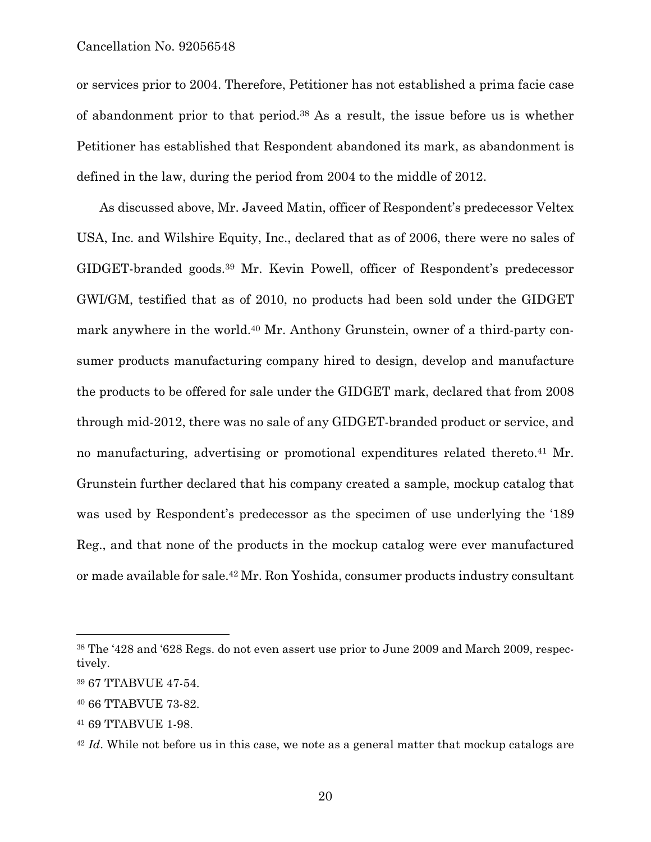or services prior to 2004. Therefore, Petitioner has not established a prima facie case of abandonment prior to that period.38 As a result, the issue before us is whether Petitioner has established that Respondent abandoned its mark, as abandonment is defined in the law, during the period from 2004 to the middle of 2012.

As discussed above, Mr. Javeed Matin, officer of Respondent's predecessor Veltex USA, Inc. and Wilshire Equity, Inc., declared that as of 2006, there were no sales of GIDGET-branded goods.39 Mr. Kevin Powell, officer of Respondent's predecessor GWI/GM, testified that as of 2010, no products had been sold under the GIDGET mark anywhere in the world.40 Mr. Anthony Grunstein, owner of a third-party consumer products manufacturing company hired to design, develop and manufacture the products to be offered for sale under the GIDGET mark, declared that from 2008 through mid-2012, there was no sale of any GIDGET-branded product or service, and no manufacturing, advertising or promotional expenditures related thereto.41 Mr. Grunstein further declared that his company created a sample, mockup catalog that was used by Respondent's predecessor as the specimen of use underlying the '189 Reg., and that none of the products in the mockup catalog were ever manufactured or made available for sale.42 Mr. Ron Yoshida, consumer products industry consultant

<sup>38</sup> The '428 and '628 Regs. do not even assert use prior to June 2009 and March 2009, respectively.

<sup>39 67</sup> TTABVUE 47-54.

<sup>40 66</sup> TTABVUE 73-82.

<sup>41 69</sup> TTABVUE 1-98.

<sup>&</sup>lt;sup>42</sup> Id. While not before us in this case, we note as a general matter that mockup catalogs are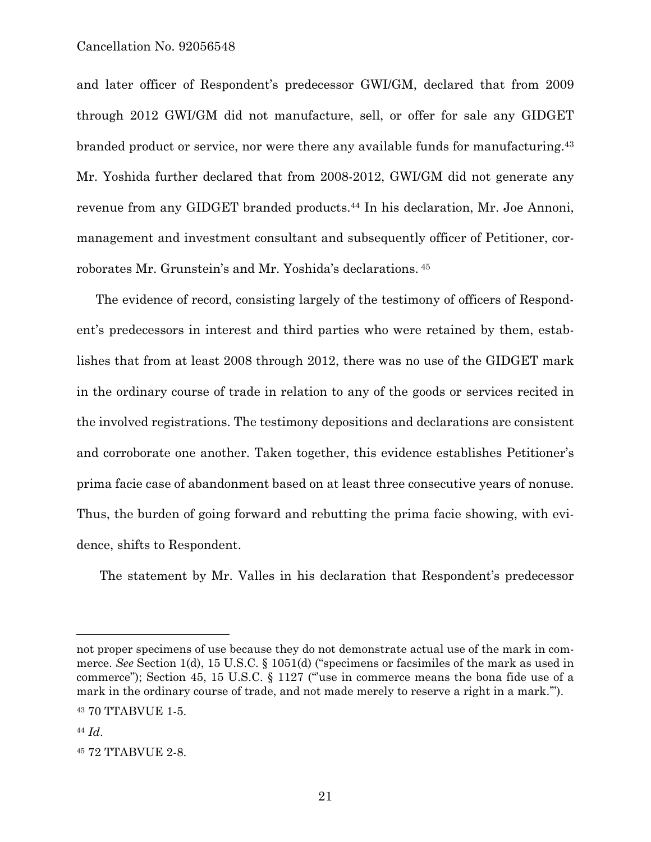and later officer of Respondent's predecessor GWI/GM, declared that from 2009 through 2012 GWI/GM did not manufacture, sell, or offer for sale any GIDGET branded product or service, nor were there any available funds for manufacturing.43 Mr. Yoshida further declared that from 2008-2012, GWI/GM did not generate any revenue from any GIDGET branded products.44 In his declaration, Mr. Joe Annoni, management and investment consultant and subsequently officer of Petitioner, corroborates Mr. Grunstein's and Mr. Yoshida's declarations. 45

The evidence of record, consisting largely of the testimony of officers of Respondent's predecessors in interest and third parties who were retained by them, establishes that from at least 2008 through 2012, there was no use of the GIDGET mark in the ordinary course of trade in relation to any of the goods or services recited in the involved registrations. The testimony depositions and declarations are consistent and corroborate one another. Taken together, this evidence establishes Petitioner's prima facie case of abandonment based on at least three consecutive years of nonuse. Thus, the burden of going forward and rebutting the prima facie showing, with evidence, shifts to Respondent.

The statement by Mr. Valles in his declaration that Respondent's predecessor

not proper specimens of use because they do not demonstrate actual use of the mark in commerce. *See* Section 1(d), 15 U.S.C. § 1051(d) ("specimens or facsimiles of the mark as used in commerce"); Section 45, 15 U.S.C. § 1127 ("'use in commerce means the bona fide use of a mark in the ordinary course of trade, and not made merely to reserve a right in a mark.'").

<sup>43 70</sup> TTABVUE 1-5.

<sup>44</sup> *Id*.

<sup>45 72</sup> TTABVUE 2-8.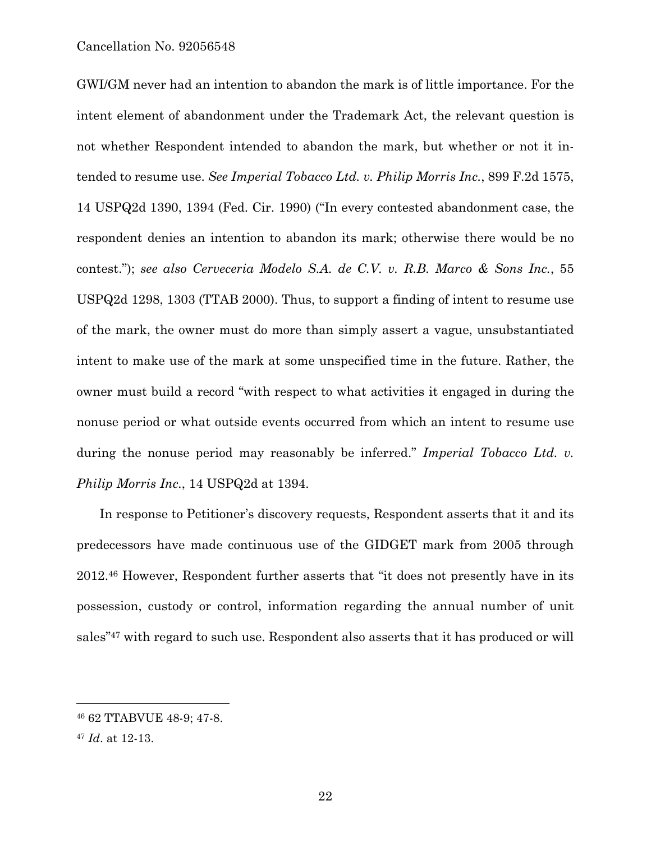GWI/GM never had an intention to abandon the mark is of little importance. For the intent element of abandonment under the Trademark Act, the relevant question is not whether Respondent intended to abandon the mark, but whether or not it intended to resume use. *See Imperial Tobacco Ltd. v. Philip Morris Inc.*, 899 F.2d 1575, 14 USPQ2d 1390, 1394 (Fed. Cir. 1990) ("In every contested abandonment case, the respondent denies an intention to abandon its mark; otherwise there would be no contest."); *see also Cerveceria Modelo S.A. de C.V. v. R.B. Marco & Sons Inc.*, 55 USPQ2d 1298, 1303 (TTAB 2000). Thus, to support a finding of intent to resume use of the mark, the owner must do more than simply assert a vague, unsubstantiated intent to make use of the mark at some unspecified time in the future. Rather, the owner must build a record "with respect to what activities it engaged in during the nonuse period or what outside events occurred from which an intent to resume use during the nonuse period may reasonably be inferred." *Imperial Tobacco Ltd. v. Philip Morris Inc.*, 14 USPQ2d at 1394.

In response to Petitioner's discovery requests, Respondent asserts that it and its predecessors have made continuous use of the GIDGET mark from 2005 through 2012.46 However, Respondent further asserts that "it does not presently have in its possession, custody or control, information regarding the annual number of unit sales"47 with regard to such use. Respondent also asserts that it has produced or will

<sup>46 62</sup> TTABVUE 48-9; 47-8.

<sup>47</sup> *Id*. at 12-13.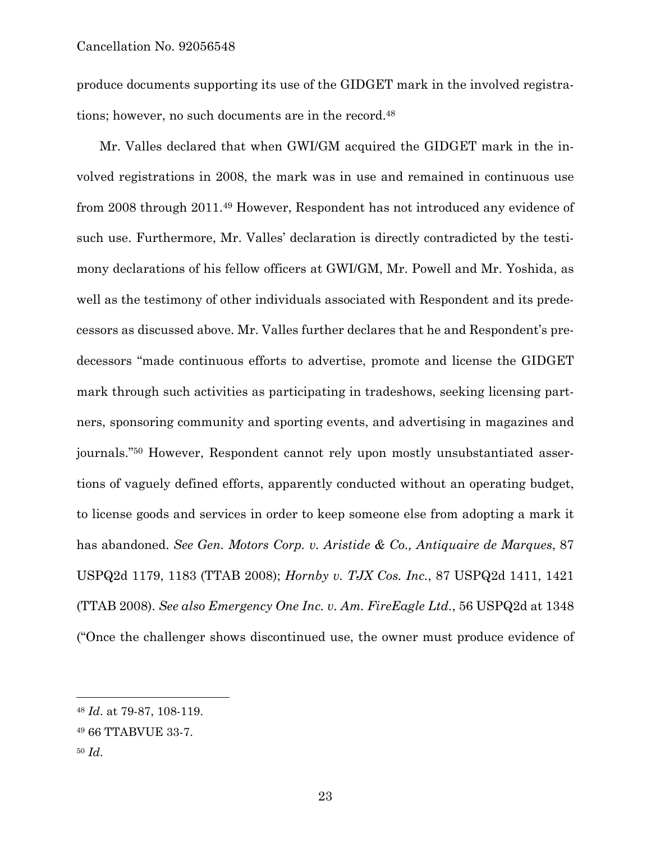produce documents supporting its use of the GIDGET mark in the involved registrations; however, no such documents are in the record.48

Mr. Valles declared that when GWI/GM acquired the GIDGET mark in the involved registrations in 2008, the mark was in use and remained in continuous use from 2008 through 2011.49 However, Respondent has not introduced any evidence of such use. Furthermore, Mr. Valles' declaration is directly contradicted by the testimony declarations of his fellow officers at GWI/GM, Mr. Powell and Mr. Yoshida, as well as the testimony of other individuals associated with Respondent and its predecessors as discussed above. Mr. Valles further declares that he and Respondent's predecessors "made continuous efforts to advertise, promote and license the GIDGET mark through such activities as participating in tradeshows, seeking licensing partners, sponsoring community and sporting events, and advertising in magazines and journals."50 However, Respondent cannot rely upon mostly unsubstantiated assertions of vaguely defined efforts, apparently conducted without an operating budget, to license goods and services in order to keep someone else from adopting a mark it has abandoned. *See Gen. Motors Corp. v. Aristide & Co., Antiquaire de Marques*, 87 USPQ2d 1179, 1183 (TTAB 2008); *Hornby v. TJX Cos. Inc.*, 87 USPQ2d 1411, 1421 (TTAB 2008). *See also Emergency One Inc. v. Am. FireEagle Ltd.*, 56 USPQ2d at 1348 ("Once the challenger shows discontinued use, the owner must produce evidence of

<sup>48</sup> *Id*. at 79-87, 108-119.

<sup>49 66</sup> TTABVUE 33-7.

<sup>50</sup> *Id*.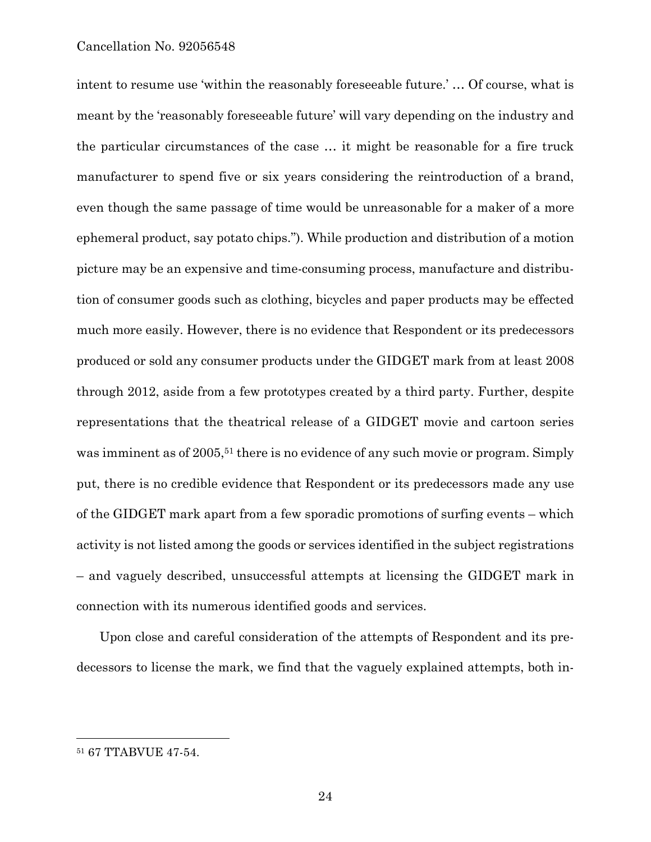intent to resume use 'within the reasonably foreseeable future.' … Of course, what is meant by the 'reasonably foreseeable future' will vary depending on the industry and the particular circumstances of the case … it might be reasonable for a fire truck manufacturer to spend five or six years considering the reintroduction of a brand, even though the same passage of time would be unreasonable for a maker of a more ephemeral product, say potato chips."). While production and distribution of a motion picture may be an expensive and time-consuming process, manufacture and distribution of consumer goods such as clothing, bicycles and paper products may be effected much more easily. However, there is no evidence that Respondent or its predecessors produced or sold any consumer products under the GIDGET mark from at least 2008 through 2012, aside from a few prototypes created by a third party. Further, despite representations that the theatrical release of a GIDGET movie and cartoon series was imminent as of 2005,<sup>51</sup> there is no evidence of any such movie or program. Simply put, there is no credible evidence that Respondent or its predecessors made any use of the GIDGET mark apart from a few sporadic promotions of surfing events – which activity is not listed among the goods or services identified in the subject registrations – and vaguely described, unsuccessful attempts at licensing the GIDGET mark in connection with its numerous identified goods and services.

Upon close and careful consideration of the attempts of Respondent and its predecessors to license the mark, we find that the vaguely explained attempts, both in-

l

<sup>51 67</sup> TTABVUE 47-54.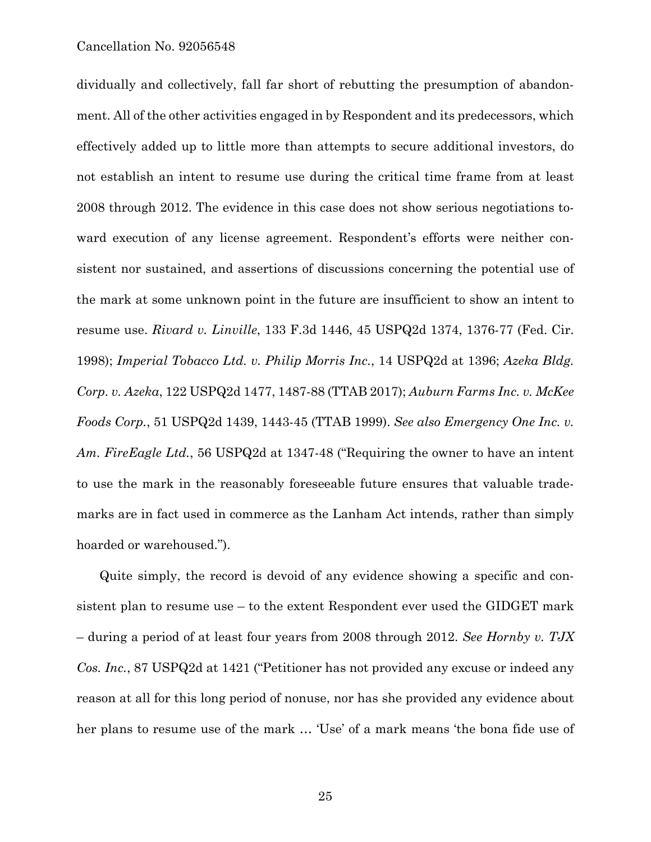dividually and collectively, fall far short of rebutting the presumption of abandonment. All of the other activities engaged in by Respondent and its predecessors, which effectively added up to little more than attempts to secure additional investors, do not establish an intent to resume use during the critical time frame from at least 2008 through 2012. The evidence in this case does not show serious negotiations toward execution of any license agreement. Respondent's efforts were neither consistent nor sustained, and assertions of discussions concerning the potential use of the mark at some unknown point in the future are insufficient to show an intent to resume use. *Rivard v. Linville*, 133 F.3d 1446, 45 USPQ2d 1374, 1376-77 (Fed. Cir. 1998); *Imperial Tobacco Ltd. v. Philip Morris Inc.*, 14 USPQ2d at 1396; *Azeka Bldg. Corp. v. Azeka*, 122 USPQ2d 1477, 1487-88 (TTAB 2017); *Auburn Farms Inc. v. McKee Foods Corp.*, 51 USPQ2d 1439, 1443-45 (TTAB 1999). *See also Emergency One Inc. v. Am. FireEagle Ltd.*, 56 USPQ2d at 1347-48 ("Requiring the owner to have an intent to use the mark in the reasonably foreseeable future ensures that valuable trademarks are in fact used in commerce as the Lanham Act intends, rather than simply hoarded or warehoused.").

Quite simply, the record is devoid of any evidence showing a specific and consistent plan to resume use – to the extent Respondent ever used the GIDGET mark – during a period of at least four years from 2008 through 2012. *See Hornby v. TJX Cos. Inc.*, 87 USPQ2d at 1421 ("Petitioner has not provided any excuse or indeed any reason at all for this long period of nonuse, nor has she provided any evidence about her plans to resume use of the mark … 'Use' of a mark means 'the bona fide use of